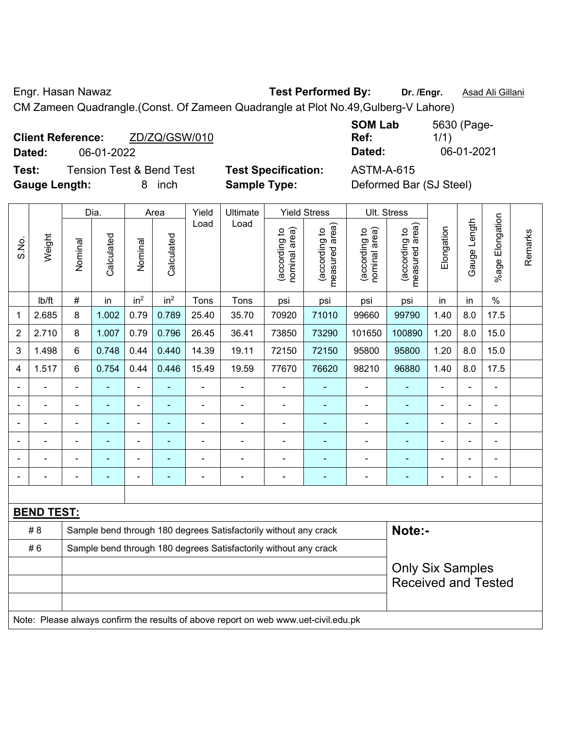Engr. Hasan Nawaz **Test Performed By: Dr. /Engr.** Asad Ali Gillani

CM Zameen Quadrangle.(Const. Of Zameen Quadrangle at Plot No.49,Gulberg-V Lahore)

| <b>Client Reference:</b> |  |            | ZD/ZQ/GSW/010 |  |  |  |  |  |  |
|--------------------------|--|------------|---------------|--|--|--|--|--|--|
| Dated:                   |  | 06-01-2022 |               |  |  |  |  |  |  |
| - -                      |  |            | — <u>10</u> m |  |  |  |  |  |  |

**SOM Lab Ref:**  5630 (Page-1/1) **Dated:** 06-01-2022 **Dated:** 06-01-2021

**Test:** Tension Test & Bend Test **Test Specification:** ASTM-A-615 **Gauge Length:** 8 inch **Sample Type:** Deformed Bar (SJ Steel)

| <b>Sample Type:</b> | TVJL UPUUNNUUNII.   |  |
|---------------------|---------------------|--|
| Ultimate            | <b>Yield Stress</b> |  |

|                |                                                                                     |                                                                  | Dia.           |                 | Area            | Yield          | Ultimate                                                         |                                | <b>Yield Stress</b>             | Ult. Stress                    |                                 |            |                |                 |         |
|----------------|-------------------------------------------------------------------------------------|------------------------------------------------------------------|----------------|-----------------|-----------------|----------------|------------------------------------------------------------------|--------------------------------|---------------------------------|--------------------------------|---------------------------------|------------|----------------|-----------------|---------|
| S.No.          | Weight                                                                              | Nominal                                                          | Calculated     | Nominal         | Calculated      | Load           | Load                                                             | nominal area)<br>(according to | (according to<br>measured area) | nominal area)<br>(according to | measured area)<br>(according to | Elongation | Gauge Length   | %age Elongation | Remarks |
|                | lb/ft                                                                               | $\#$                                                             | in             | in <sup>2</sup> | in <sup>2</sup> | Tons           | Tons                                                             | psi                            | psi                             | psi                            | psi                             | in         | in             | $\%$            |         |
| 1              | 2.685                                                                               | 8                                                                | 1.002          | 0.79            | 0.789           | 25.40          | 35.70                                                            | 70920                          | 71010                           | 99660                          | 99790                           | 1.40       | 8.0            | 17.5            |         |
| 2              | 2.710                                                                               | 8                                                                | 1.007          | 0.79            | 0.796           | 26.45          | 36.41                                                            | 73850                          | 73290                           | 101650                         | 100890                          | 1.20       | 8.0            | 15.0            |         |
| 3              | 1.498                                                                               | 6                                                                | 0.748          | 0.44            | 0.440           | 14.39          | 19.11                                                            | 72150                          | 72150                           | 95800                          | 95800                           | 1.20       | 8.0            | 15.0            |         |
| 4              | 1.517                                                                               | 6                                                                | 0.754          | 0.44            | 0.446           | 15.49          | 19.59                                                            | 77670                          | 76620                           | 98210                          | 96880                           | 1.40       | 8.0            | 17.5            |         |
|                |                                                                                     | $\blacksquare$                                                   | $\blacksquare$ | $\blacksquare$  | $\blacksquare$  | ÷              | $\blacksquare$                                                   | $\overline{a}$                 | ٠                               | $\blacksquare$                 | $\blacksquare$                  | ä,         | $\blacksquare$ | $\blacksquare$  |         |
|                |                                                                                     | $\blacksquare$                                                   |                | $\blacksquare$  | ÷               | ÷              | $\blacksquare$                                                   | $\blacksquare$                 | ۰                               | $\blacksquare$                 |                                 | Ē,         | Ē,             | $\blacksquare$  |         |
|                |                                                                                     |                                                                  |                | $\blacksquare$  | $\overline{a}$  | $\blacksquare$ | $\blacksquare$                                                   | ٠                              | $\overline{\phantom{0}}$        | $\blacksquare$                 | $\overline{\phantom{0}}$        | ۰          |                | $\blacksquare$  |         |
|                |                                                                                     |                                                                  |                |                 |                 |                |                                                                  |                                |                                 |                                |                                 |            |                |                 |         |
|                |                                                                                     |                                                                  |                |                 |                 |                |                                                                  | $\blacksquare$                 |                                 |                                |                                 |            | $\blacksquare$ | $\blacksquare$  |         |
| $\blacksquare$ |                                                                                     | $\blacksquare$                                                   | $\blacksquare$ | ÷               | -               | ÷              | ÷                                                                | $\overline{a}$                 | ۰                               | $\blacksquare$                 | $\overline{\phantom{0}}$        | ÷          | $\overline{a}$ | $\overline{a}$  |         |
|                |                                                                                     |                                                                  |                |                 |                 |                |                                                                  |                                |                                 |                                |                                 |            |                |                 |         |
|                | <b>BEND TEST:</b>                                                                   |                                                                  |                |                 |                 |                |                                                                  |                                |                                 |                                |                                 |            |                |                 |         |
|                | #8                                                                                  |                                                                  |                |                 |                 |                | Sample bend through 180 degrees Satisfactorily without any crack |                                |                                 |                                | Note:-                          |            |                |                 |         |
|                | #6                                                                                  | Sample bend through 180 degrees Satisfactorily without any crack |                |                 |                 |                |                                                                  |                                |                                 |                                |                                 |            |                |                 |         |
|                |                                                                                     | <b>Only Six Samples</b>                                          |                |                 |                 |                |                                                                  |                                |                                 |                                |                                 |            |                |                 |         |
|                |                                                                                     |                                                                  |                |                 |                 |                |                                                                  |                                |                                 |                                | <b>Received and Tested</b>      |            |                |                 |         |
|                |                                                                                     |                                                                  |                |                 |                 |                |                                                                  |                                |                                 |                                |                                 |            |                |                 |         |
|                | Note: Please always confirm the results of above report on web www.uet-civil.edu.pk |                                                                  |                |                 |                 |                |                                                                  |                                |                                 |                                |                                 |            |                |                 |         |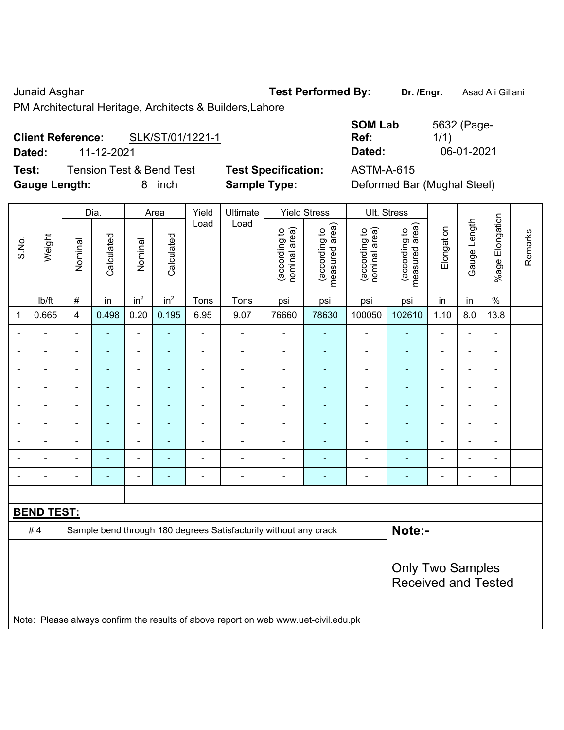#### Junaid Asghar **Test Performed By:** Dr. /Engr. **Asad Ali Gillani** Cunaid Asghar

PM Architectural Heritage, Architects & Builders,Lahore

# **Client Reference:** SLK/ST/01/1221-1

**Dated:** 11-12-2021 **Dated:** 06-01-2021

**Test:** Tension Test & Bend Test **Test Specification:** ASTM-A-615 **Gauge Length:** 8 inch **Sample Type:** Deformed Bar (Mughal Steel)

| <b>SOM Lab</b> | 5632 (Page- |
|----------------|-------------|
| Ref:           | 1/1)        |
| Dated:         | 06-01-2021  |

|                |                                                                                     |                | Dia.           |                              | Area            | Yield          | Ultimate                                                         |                                | <b>Yield Stress</b>             |                                | Ult. Stress                     |                |                |                 |         |
|----------------|-------------------------------------------------------------------------------------|----------------|----------------|------------------------------|-----------------|----------------|------------------------------------------------------------------|--------------------------------|---------------------------------|--------------------------------|---------------------------------|----------------|----------------|-----------------|---------|
| S.No.          | Weight                                                                              | Nominal        | Calculated     | Nominal                      | Calculated      | Load           | Load                                                             | nominal area)<br>(according to | measured area)<br>(according to | (according to<br>nominal area) | measured area)<br>(according to | Elongation     | Gauge Length   | %age Elongation | Remarks |
|                | lb/ft                                                                               | $\#$           | in             | in <sup>2</sup>              | in <sup>2</sup> | Tons           | Tons                                                             | psi                            | psi                             | psi                            | psi                             | in             | in             | $\%$            |         |
| 1              | 0.665                                                                               | $\overline{4}$ | 0.498          | 0.20                         | 0.195           | 6.95           | 9.07                                                             | 76660                          | 78630                           | 100050                         | 102610                          | 1.10           | 8.0            | 13.8            |         |
| ۰              |                                                                                     | $\blacksquare$ |                | $\qquad \qquad \blacksquare$ | ä,              | ä,             | $\overline{\phantom{a}}$                                         | $\overline{a}$                 | $\blacksquare$                  | $\overline{a}$                 | ÷                               | $\blacksquare$ | ä,             | $\blacksquare$  |         |
| $\blacksquare$ |                                                                                     | $\blacksquare$ | ۰              | $\blacksquare$               | $\blacksquare$  | $\blacksquare$ | $\blacksquare$                                                   | $\overline{a}$                 | ٠                               | $\qquad \qquad \blacksquare$   | ÷                               | $\blacksquare$ | $\blacksquare$ | $\blacksquare$  |         |
| ÷              |                                                                                     | $\blacksquare$ | ÷,             | ÷                            | ÷               | ÷              | Ē,                                                               | $\overline{\phantom{a}}$       | $\blacksquare$                  | $\blacksquare$                 | ÷                               | $\blacksquare$ | $\blacksquare$ | $\blacksquare$  |         |
| $\blacksquare$ | ÷                                                                                   | $\blacksquare$ | $\blacksquare$ | $\blacksquare$               | $\blacksquare$  | $\blacksquare$ | $\blacksquare$                                                   | $\blacksquare$                 | $\blacksquare$                  | $\blacksquare$                 | $\blacksquare$                  | $\blacksquare$ | ä,             | $\blacksquare$  |         |
| $\blacksquare$ | $\blacksquare$                                                                      | $\blacksquare$ | ä,             | $\blacksquare$               | ÷,              | ÷              | ä,                                                               | $\blacksquare$                 | $\blacksquare$                  | $\blacksquare$                 | ۰                               | $\blacksquare$ | $\blacksquare$ | $\blacksquare$  |         |
|                |                                                                                     | $\blacksquare$ |                | ÷,                           | ÷               | ÷              | Ē,                                                               | $\blacksquare$                 | $\blacksquare$                  | $\blacksquare$                 | $\blacksquare$                  | ä,             | ä,             | ÷,              |         |
|                |                                                                                     |                |                | ۰                            | ä,              | $\blacksquare$ | Ē.                                                               | $\blacksquare$                 | ۳                               |                                | ÷                               |                | $\blacksquare$ | $\blacksquare$  |         |
|                |                                                                                     |                |                | ÷                            | ä,              |                |                                                                  | $\blacksquare$                 | ۳                               | $\blacksquare$                 | $\blacksquare$                  |                | $\blacksquare$ | $\blacksquare$  |         |
| $\blacksquare$ | $\blacksquare$                                                                      | $\blacksquare$ | ÷,             | ÷                            | ÷               | ÷              | ÷                                                                | $\overline{\phantom{a}}$       | $\blacksquare$                  | $\overline{a}$                 | ÷                               | $\blacksquare$ | $\blacksquare$ | $\blacksquare$  |         |
|                |                                                                                     |                |                |                              |                 |                |                                                                  |                                |                                 |                                |                                 |                |                |                 |         |
|                | <b>BEND TEST:</b>                                                                   |                |                |                              |                 |                |                                                                  |                                |                                 |                                |                                 |                |                |                 |         |
|                | #4                                                                                  |                |                |                              |                 |                | Sample bend through 180 degrees Satisfactorily without any crack |                                |                                 |                                | Note:-                          |                |                |                 |         |
|                |                                                                                     |                |                |                              |                 |                |                                                                  |                                |                                 |                                |                                 |                |                |                 |         |
|                |                                                                                     |                |                |                              |                 |                |                                                                  |                                |                                 |                                | <b>Only Two Samples</b>         |                |                |                 |         |
|                |                                                                                     |                |                |                              |                 |                |                                                                  |                                |                                 |                                | <b>Received and Tested</b>      |                |                |                 |         |
|                |                                                                                     |                |                |                              |                 |                |                                                                  |                                |                                 |                                |                                 |                |                |                 |         |
|                | Note: Please always confirm the results of above report on web www.uet-civil.edu.pk |                |                |                              |                 |                |                                                                  |                                |                                 |                                |                                 |                |                |                 |         |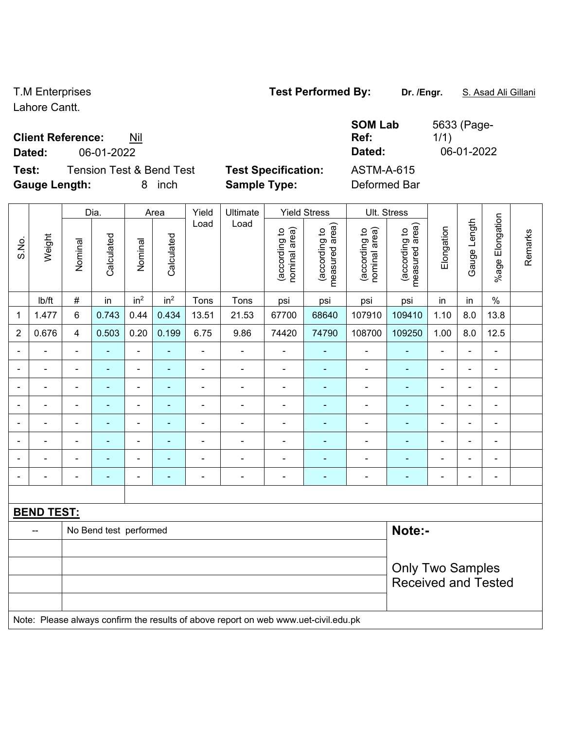Lahore Cantt.

### **Client Refer**

| <b>Client Reference:</b><br>Nil              |                            | 5633 (Page-<br><b>SOM Lab</b><br>1/1)<br>Ref: |
|----------------------------------------------|----------------------------|-----------------------------------------------|
| 06-01-2022<br>Dated:                         |                            | 06-01-2022<br>Dated:                          |
| Test:<br><b>Tension Test &amp; Bend Test</b> | <b>Test Specification:</b> | <b>ASTM-A-615</b>                             |
| <b>Gauge Length:</b><br>inch<br>8            | <b>Sample Type:</b>        | Deformed Bar                                  |

|                |                                                                                     |                         | Dia.                   |                              | Area            | Yield          | Ultimate       |                                | <b>Yield Stress</b>             |                                | Ult. Stress                     |                          |                |                 |         |
|----------------|-------------------------------------------------------------------------------------|-------------------------|------------------------|------------------------------|-----------------|----------------|----------------|--------------------------------|---------------------------------|--------------------------------|---------------------------------|--------------------------|----------------|-----------------|---------|
| S.No.          | Weight                                                                              | Nominal                 | Calculated             | Nominal                      | Calculated      | Load           | Load           | nominal area)<br>(according to | measured area)<br>(according to | nominal area)<br>(according to | measured area)<br>(according to | Elongation               | Gauge Length   | %age Elongation | Remarks |
|                | lb/ft                                                                               | $\#$                    | in                     | in <sup>2</sup>              | in <sup>2</sup> | Tons           | Tons           | psi                            | psi                             | psi                            | psi                             | in                       | in             | $\frac{0}{0}$   |         |
| 1              | 1.477                                                                               | $\,6$                   | 0.743                  | 0.44                         | 0.434           | 13.51          | 21.53          | 67700                          | 68640                           | 107910                         | 109410                          | 1.10                     | 8.0            | 13.8            |         |
| $\overline{2}$ | 0.676                                                                               | 4                       | 0.503                  | 0.20                         | 0.199           | 6.75           | 9.86           | 74420                          | 74790                           | 108700                         | 109250                          | 1.00                     | 8.0            | 12.5            |         |
|                |                                                                                     |                         |                        | $\blacksquare$               | ä,              | $\blacksquare$ |                | $\overline{a}$                 | $\blacksquare$                  | $\blacksquare$                 | ۰                               | ä,                       | ä,             | ÷,              |         |
|                |                                                                                     | $\blacksquare$          | ÷                      | $\qquad \qquad \blacksquare$ | ٠               | ÷.             | ä,             | $\overline{a}$                 | $\blacksquare$                  | $\blacksquare$                 | ÷                               | $\blacksquare$           | $\blacksquare$ | $\blacksquare$  |         |
| $\blacksquare$ | $\blacksquare$                                                                      | $\blacksquare$          | ä,                     | $\blacksquare$               | ÷,              | ä,             | ä,             | $\blacksquare$                 | $\blacksquare$                  | $\blacksquare$                 | ÷                               | $\blacksquare$           | ä,             | $\blacksquare$  |         |
| ۰              |                                                                                     | $\blacksquare$          | ÷                      | $\overline{\phantom{a}}$     | $\blacksquare$  | ÷              | ÷              | $\blacksquare$                 | $\blacksquare$                  | $\blacksquare$                 | ۰                               | $\overline{\phantom{a}}$ | $\blacksquare$ | $\blacksquare$  |         |
|                | ۳                                                                                   | $\blacksquare$          | ä,                     | ÷,                           | ÷,              | $\blacksquare$ | $\blacksquare$ | $\blacksquare$                 | $\blacksquare$                  | $\blacksquare$                 | $\blacksquare$                  | $\blacksquare$           | ä,             | $\blacksquare$  |         |
|                |                                                                                     | $\blacksquare$          | $\blacksquare$         | $\blacksquare$               | ÷,              | ÷              | $\overline{a}$ | $\blacksquare$                 | ä,                              | $\blacksquare$                 | ۰                               |                          | $\blacksquare$ | $\blacksquare$  |         |
|                |                                                                                     |                         |                        | L.                           |                 |                |                | $\blacksquare$                 | ۳                               |                                | ä,                              |                          | L.             | $\blacksquare$  |         |
| $\blacksquare$ |                                                                                     | $\blacksquare$          | $\blacksquare$         | $\blacksquare$               | ۰               | $\blacksquare$ | $\blacksquare$ | $\blacksquare$                 | $\blacksquare$                  | $\blacksquare$                 | ÷                               | $\blacksquare$           | $\blacksquare$ | $\blacksquare$  |         |
|                |                                                                                     |                         |                        |                              |                 |                |                |                                |                                 |                                |                                 |                          |                |                 |         |
|                | <b>BEND TEST:</b>                                                                   |                         |                        |                              |                 |                |                |                                |                                 |                                |                                 |                          |                |                 |         |
|                |                                                                                     |                         | No Bend test performed |                              |                 |                |                |                                |                                 |                                | Note:-                          |                          |                |                 |         |
|                |                                                                                     |                         |                        |                              |                 |                |                |                                |                                 |                                |                                 |                          |                |                 |         |
|                |                                                                                     | <b>Only Two Samples</b> |                        |                              |                 |                |                |                                |                                 |                                |                                 |                          |                |                 |         |
|                |                                                                                     |                         |                        |                              |                 |                |                |                                |                                 |                                | <b>Received and Tested</b>      |                          |                |                 |         |
|                |                                                                                     |                         |                        |                              |                 |                |                |                                |                                 |                                |                                 |                          |                |                 |         |
|                | Note: Please always confirm the results of above report on web www.uet-civil.edu.pk |                         |                        |                              |                 |                |                |                                |                                 |                                |                                 |                          |                |                 |         |

# T.M Enterprises **Test Performed By:** Dr. /Engr. **S. Asad Ali Gillani**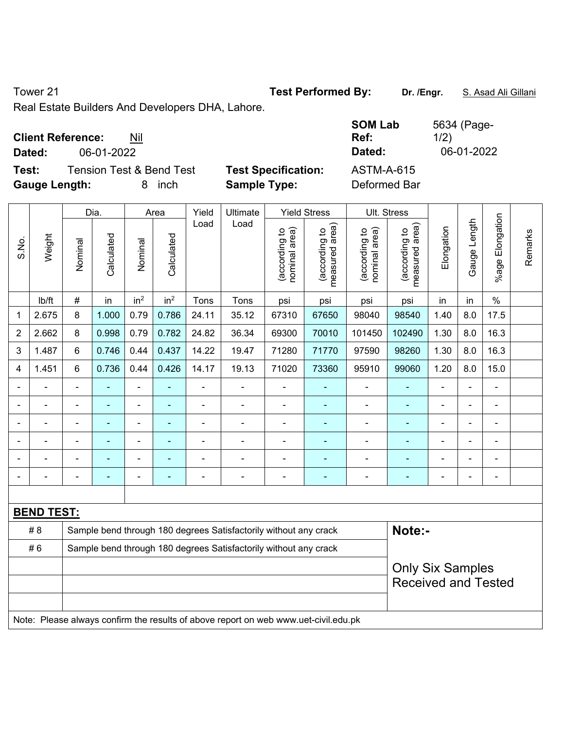Tower 21 **Test Performed By:** Dr. /Engr. **S. Asad Ali Gillani** 

Real Estate Builders And Developers DHA, Lahore.

|                          |                          |           |                            | <b>SOM Lab</b>    | 5634 (Page- |
|--------------------------|--------------------------|-----------|----------------------------|-------------------|-------------|
| <b>Client Reference:</b> | Nil                      |           |                            | Ref:              | 1/2)        |
| Dated:                   | 06-01-2022               |           |                            | Dated:            | 06-01-2022  |
| Test:                    | Tension Test & Bend Test |           | <b>Test Specification:</b> | <b>ASTM-A-615</b> |             |
| <b>Gauge Length:</b>     |                          | inch<br>8 | <b>Sample Type:</b>        | Deformed Bar      |             |

|                |                                                                                     |                                                                  | Dia.           |                 | Area            | Yield          | Ultimate                                                         |                                | <b>Yield Stress</b>             |                                | Ult. Stress                     |                          |                |                       |         |
|----------------|-------------------------------------------------------------------------------------|------------------------------------------------------------------|----------------|-----------------|-----------------|----------------|------------------------------------------------------------------|--------------------------------|---------------------------------|--------------------------------|---------------------------------|--------------------------|----------------|-----------------------|---------|
| S.No.          | Weight                                                                              | Nominal                                                          | Calculated     | Nominal         | Calculated      | Load           | Load                                                             | nominal area)<br>(according to | (according to<br>measured area) | nominal area)<br>(according to | measured area)<br>(according to | Elongation               | Gauge Length   | Elongation<br>$%$ age | Remarks |
|                | lb/ft                                                                               | $\#$                                                             | in             | in <sup>2</sup> | in <sup>2</sup> | Tons           | Tons                                                             | psi                            | psi                             | psi                            | psi                             | in                       | in             | $\%$                  |         |
| 1              | 2.675                                                                               | 8                                                                | 1.000          | 0.79            | 0.786           | 24.11          | 35.12                                                            | 67310                          | 67650                           | 98040                          | 98540                           | 1.40                     | 8.0            | 17.5                  |         |
| $\overline{2}$ | 2.662                                                                               | 8                                                                | 0.998          | 0.79            | 0.782           | 24.82          | 36.34                                                            | 69300                          | 70010                           | 101450                         | 102490                          | 1.30                     | 8.0            | 16.3                  |         |
| 3              | 1.487                                                                               | 6                                                                | 0.746          | 0.44            | 0.437           | 14.22          | 19.47                                                            | 71280                          | 71770                           | 97590                          | 98260                           | 1.30                     | 8.0            | 16.3                  |         |
| 4              | 1.451                                                                               | 6                                                                | 0.736          | 0.44            | 0.426           | 14.17          | 19.13                                                            | 71020                          | 73360                           | 95910                          | 99060                           | 1.20                     | 8.0            | 15.0                  |         |
|                | ä,                                                                                  | $\blacksquare$                                                   | $\blacksquare$ | ÷,              | ä,              | $\blacksquare$ | ÷,                                                               | ÷,                             | ÷                               | $\blacksquare$                 | $\blacksquare$                  | $\blacksquare$           | $\blacksquare$ | ÷,                    |         |
| $\blacksquare$ | $\blacksquare$                                                                      | $\blacksquare$                                                   | ÷              | $\blacksquare$  |                 | $\blacksquare$ | ÷,                                                               | $\blacksquare$                 | $\blacksquare$                  | $\overline{a}$                 | ÷                               |                          | $\blacksquare$ | $\blacksquare$        |         |
| $\blacksquare$ | $\blacksquare$                                                                      | ä,                                                               | ÷,             | $\blacksquare$  | $\blacksquare$  | ä,             | ÷,                                                               | ä,                             | ÷                               | $\blacksquare$                 | ÷                               | $\overline{\phantom{0}}$ |                | ä,                    |         |
|                |                                                                                     |                                                                  |                | $\blacksquare$  |                 | $\blacksquare$ | ÷                                                                |                                | ۰                               |                                |                                 |                          |                | $\blacksquare$        |         |
|                |                                                                                     |                                                                  |                |                 |                 |                | ۰                                                                |                                | ۰                               |                                | $\blacksquare$                  |                          |                | $\sim$                |         |
| $\blacksquare$ |                                                                                     | $\blacksquare$                                                   |                | $\blacksquare$  |                 | $\blacksquare$ | $\blacksquare$                                                   |                                | ۰                               |                                | ۰                               |                          |                | $\blacksquare$        |         |
|                |                                                                                     |                                                                  |                |                 |                 |                |                                                                  |                                |                                 |                                |                                 |                          |                |                       |         |
|                | <b>BEND TEST:</b>                                                                   |                                                                  |                |                 |                 |                |                                                                  |                                |                                 |                                |                                 |                          |                |                       |         |
|                | # 8                                                                                 |                                                                  |                |                 |                 |                | Sample bend through 180 degrees Satisfactorily without any crack |                                |                                 |                                | Note:-                          |                          |                |                       |         |
|                | #6                                                                                  | Sample bend through 180 degrees Satisfactorily without any crack |                |                 |                 |                |                                                                  |                                |                                 |                                |                                 |                          |                |                       |         |
|                |                                                                                     |                                                                  |                |                 |                 |                |                                                                  |                                |                                 |                                | <b>Only Six Samples</b>         |                          |                |                       |         |
|                |                                                                                     |                                                                  |                |                 |                 |                |                                                                  |                                |                                 |                                | <b>Received and Tested</b>      |                          |                |                       |         |
|                |                                                                                     |                                                                  |                |                 |                 |                |                                                                  |                                |                                 |                                |                                 |                          |                |                       |         |
|                | Note: Please always confirm the results of above report on web www.uet-civil.edu.pk |                                                                  |                |                 |                 |                |                                                                  |                                |                                 |                                |                                 |                          |                |                       |         |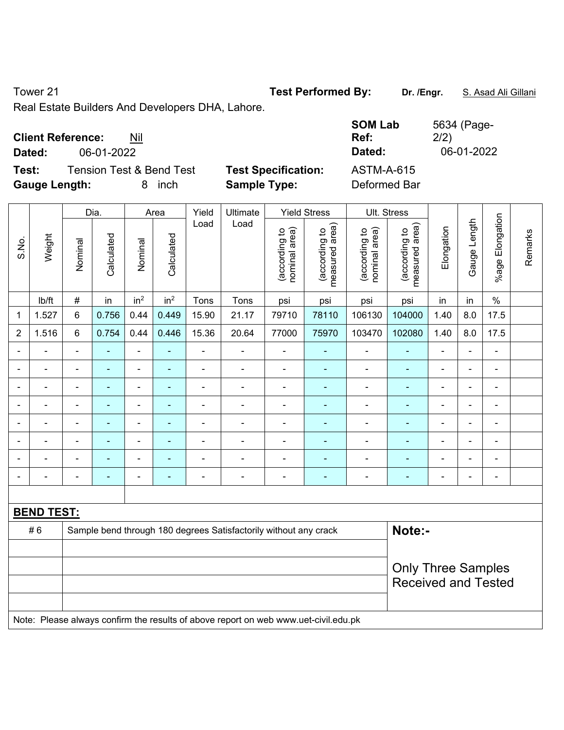Tower 21 **Test Performed By:** Dr. /Engr. **S. Asad Ali Gillani** 

Real Estate Builders And Developers DHA, Lahore.

|                            | <b>SOM Lab</b><br>Ref:<br>Dated: | 5634 (Page-<br>2/2)<br>06-01-2022 |
|----------------------------|----------------------------------|-----------------------------------|
| <b>Test Specification:</b> | <b>ASTM-A-615</b>                |                                   |
|                            | <b>Sample Type:</b>              | Deformed Bar                      |

|                          |                          |                                                                                     | Dia.           |                          | Area            | Yield          | Ultimate                 |                                | <b>Yield Stress</b>             |                                | Ult. Stress                     |                |                |                 |         |
|--------------------------|--------------------------|-------------------------------------------------------------------------------------|----------------|--------------------------|-----------------|----------------|--------------------------|--------------------------------|---------------------------------|--------------------------------|---------------------------------|----------------|----------------|-----------------|---------|
| S.No.                    | Weight                   | Nominal                                                                             | Calculated     | Nominal                  | Calculated      | Load           | Load                     | (according to<br>nominal area) | (according to<br>measured area) | (according to<br>nominal area) | measured area)<br>(according to | Elongation     | Gauge Length   | %age Elongation | Remarks |
|                          | lb/ft                    | $\#$                                                                                | in             | in <sup>2</sup>          | in <sup>2</sup> | Tons           | Tons                     | psi                            | psi                             | psi                            | psi                             | in             | in             | $\%$            |         |
| 1                        | 1.527                    | 6                                                                                   | 0.756          | 0.44                     | 0.449           | 15.90          | 21.17                    | 79710                          | 78110                           | 106130                         | 104000                          | 1.40           | 8.0            | 17.5            |         |
| $\overline{2}$           | 1.516                    | 6                                                                                   | 0.754          | 0.44                     | 0.446           | 15.36          | 20.64                    | 77000                          | 75970                           | 103470                         | 102080                          | 1.40           | 8.0            | 17.5            |         |
| $\overline{\phantom{a}}$ | ä,                       | $\blacksquare$                                                                      | $\blacksquare$ | $\blacksquare$           | $\sim$          | ä,             | $\blacksquare$           | $\blacksquare$                 | $\blacksquare$                  | $\blacksquare$                 | $\blacksquare$                  | ä,             | $\blacksquare$ | $\blacksquare$  |         |
|                          | $\overline{\phantom{a}}$ | $\blacksquare$                                                                      | $\blacksquare$ | $\blacksquare$           | $\blacksquare$  | $\blacksquare$ | $\overline{\phantom{a}}$ | $\blacksquare$                 | $\blacksquare$                  | $\blacksquare$                 | $\blacksquare$                  | $\blacksquare$ | ÷              | $\blacksquare$  |         |
|                          | ÷                        |                                                                                     | $\blacksquare$ | $\blacksquare$           | ä,              | $\blacksquare$ | $\overline{\phantom{a}}$ | $\blacksquare$                 | ÷                               | $\blacksquare$                 | ÷                               |                | $\overline{a}$ | ä,              |         |
|                          |                          |                                                                                     | $\blacksquare$ | $\overline{\phantom{a}}$ | $\blacksquare$  | $\blacksquare$ | $\blacksquare$           | $\blacksquare$                 | $\blacksquare$                  | $\blacksquare$                 | $\blacksquare$                  |                |                | $\blacksquare$  |         |
|                          |                          |                                                                                     |                | ä,                       |                 |                | $\blacksquare$           | ä,                             | $\blacksquare$                  | Ē,                             | $\blacksquare$                  |                |                | $\blacksquare$  |         |
| $\overline{\phantom{0}}$ | $\blacksquare$           | $\blacksquare$                                                                      | $\blacksquare$ | $\blacksquare$           | $\blacksquare$  | $\blacksquare$ | $\overline{\phantom{a}}$ | $\overline{\phantom{a}}$       | $\blacksquare$                  | $\blacksquare$                 | $\blacksquare$                  | $\blacksquare$ | $\overline{a}$ | $\blacksquare$  |         |
|                          | Ē,                       | $\blacksquare$                                                                      | $\blacksquare$ | $\blacksquare$           | $\blacksquare$  | ÷              | $\blacksquare$           | $\blacksquare$                 | $\blacksquare$                  | $\blacksquare$                 | ٠                               | $\blacksquare$ | $\blacksquare$ | $\blacksquare$  |         |
|                          | ÷                        | $\blacksquare$                                                                      | $\blacksquare$ | $\overline{\phantom{a}}$ | $\blacksquare$  | $\blacksquare$ | $\overline{\phantom{a}}$ | $\blacksquare$                 | $\blacksquare$                  | $\overline{a}$                 | $\blacksquare$                  | $\blacksquare$ | $\overline{a}$ | $\blacksquare$  |         |
|                          |                          |                                                                                     |                |                          |                 |                |                          |                                |                                 |                                |                                 |                |                |                 |         |
|                          | <b>BEND TEST:</b>        |                                                                                     |                |                          |                 |                |                          |                                |                                 |                                |                                 |                |                |                 |         |
|                          | #6                       | Note:-<br>Sample bend through 180 degrees Satisfactorily without any crack          |                |                          |                 |                |                          |                                |                                 |                                |                                 |                |                |                 |         |
|                          |                          |                                                                                     |                |                          |                 |                |                          |                                |                                 |                                |                                 |                |                |                 |         |
|                          |                          |                                                                                     |                |                          |                 |                |                          |                                |                                 |                                | <b>Only Three Samples</b>       |                |                |                 |         |
|                          |                          |                                                                                     |                |                          |                 |                |                          |                                |                                 |                                | <b>Received and Tested</b>      |                |                |                 |         |
|                          |                          | Note: Please always confirm the results of above report on web www.uet-civil.edu.pk |                |                          |                 |                |                          |                                |                                 |                                |                                 |                |                |                 |         |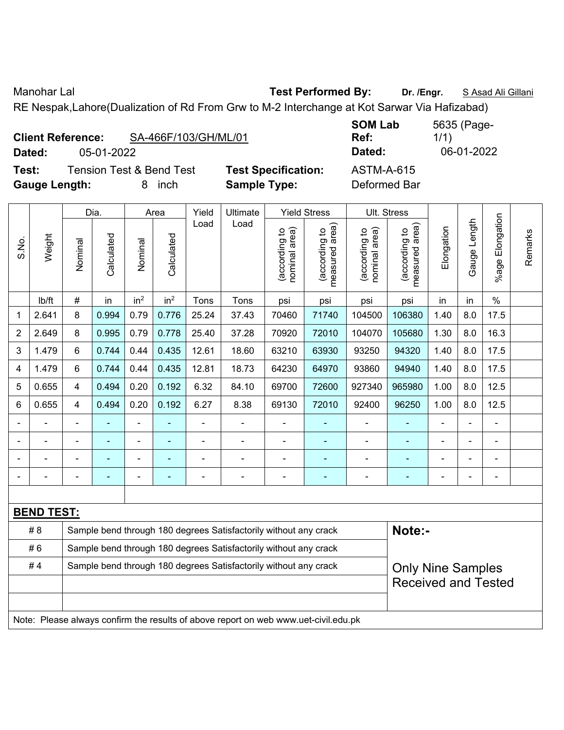Manohar Lal **Manohar Lal** *Test Performed By:* **Dr. /Engr.** S Asad Ali Gillani

RE Nespak,Lahore(Dualization of Rd From Grw to M-2 Interchange at Kot Sarwar Via Hafizabad)

|        | <b>Client Reference:</b> | SA-466F/103/GH/ML/01                |      |
|--------|--------------------------|-------------------------------------|------|
| Dated: | 05-01-2022               |                                     |      |
| Test:  |                          | <b>Tension Test &amp; Bend Test</b> | Test |

**Text: Specification:** ASTM-A-615 **Gauge Length:** 8 inch **Sample Type:** Deformed Bar

**SOM Lab Ref:**  5635 (Page-1/1) **Dated:** 05-01-2022 **Dated:** 06-01-2022

|                                                                                     |        |                                                                            | Dia.       |                 | Area            | Yield          | Ultimate       |                                | <b>Yield Stress</b>             |                                | Ult. Stress                     |                |                |                 |         |
|-------------------------------------------------------------------------------------|--------|----------------------------------------------------------------------------|------------|-----------------|-----------------|----------------|----------------|--------------------------------|---------------------------------|--------------------------------|---------------------------------|----------------|----------------|-----------------|---------|
| S.No.                                                                               | Weight | Nominal                                                                    | Calculated | Nominal         | Calculated      | Load           | Load           | nominal area)<br>(according to | (according to<br>measured area) | (according to<br>nominal area) | measured area)<br>(according to | Elongation     | Gauge Length   | %age Elongation | Remarks |
|                                                                                     | lb/ft  | $\#$                                                                       | in         | in <sup>2</sup> | in <sup>2</sup> | Tons           | Tons           | psi                            | psi                             | psi                            | psi                             | in             | in             | $\%$            |         |
| 1                                                                                   | 2.641  | 8                                                                          | 0.994      | 0.79            | 0.776           | 25.24          | 37.43          | 70460                          | 71740                           | 104500                         | 106380                          | 1.40           | 8.0            | 17.5            |         |
| $\overline{2}$                                                                      | 2.649  | 8                                                                          | 0.995      | 0.79            | 0.778           | 25.40          | 37.28          | 70920                          | 72010                           | 104070                         | 105680                          | 1.30           | 8.0            | 16.3            |         |
| 3                                                                                   | 1.479  | 6                                                                          | 0.744      | 0.44            | 0.435           | 12.61          | 18.60          | 63210                          | 63930                           | 93250                          | 94320                           | 1.40           | 8.0            | 17.5            |         |
| 4                                                                                   | 1.479  | 6                                                                          | 0.744      | 0.44            | 0.435           | 12.81          | 18.73          | 64230                          | 64970                           | 93860                          | 94940                           | 1.40           | 8.0            | 17.5            |         |
| 5                                                                                   | 0.655  | 4                                                                          | 0.494      | 0.20            | 0.192           | 6.32           | 84.10          | 69700                          | 72600                           | 927340                         | 965980                          | 1.00           | 8.0            | 12.5            |         |
| 6                                                                                   | 0.655  | 4                                                                          | 0.494      | 0.20            | 0.192           | 6.27           | 8.38           | 69130                          | 72010                           | 92400                          | 96250                           | 1.00           | 8.0            | 12.5            |         |
|                                                                                     |        |                                                                            |            | $\blacksquare$  | ä,              | $\blacksquare$ | $\frac{1}{2}$  | $\blacksquare$                 | $\blacksquare$                  |                                |                                 | ÷,             | ä,             | $\blacksquare$  |         |
|                                                                                     |        |                                                                            |            |                 |                 |                | $\blacksquare$ |                                |                                 |                                |                                 |                |                |                 |         |
|                                                                                     |        |                                                                            |            |                 |                 |                |                |                                |                                 |                                |                                 | $\blacksquare$ |                |                 |         |
|                                                                                     |        | $\blacksquare$                                                             |            | ۰               | ÷               | $\blacksquare$ | ä,             | $\blacksquare$                 | $\blacksquare$                  | $\blacksquare$                 | $\blacksquare$                  | ۰              | $\blacksquare$ | $\blacksquare$  |         |
|                                                                                     |        |                                                                            |            |                 |                 |                |                |                                |                                 |                                |                                 |                |                |                 |         |
| <b>BEND TEST:</b>                                                                   |        |                                                                            |            |                 |                 |                |                |                                |                                 |                                |                                 |                |                |                 |         |
|                                                                                     | # 8    | Note:-<br>Sample bend through 180 degrees Satisfactorily without any crack |            |                 |                 |                |                |                                |                                 |                                |                                 |                |                |                 |         |
|                                                                                     | #6     | Sample bend through 180 degrees Satisfactorily without any crack           |            |                 |                 |                |                |                                |                                 |                                |                                 |                |                |                 |         |
|                                                                                     | #4     | Sample bend through 180 degrees Satisfactorily without any crack           |            |                 |                 |                |                |                                |                                 | <b>Only Nine Samples</b>       |                                 |                |                |                 |         |
|                                                                                     |        | <b>Received and Tested</b>                                                 |            |                 |                 |                |                |                                |                                 |                                |                                 |                |                |                 |         |
|                                                                                     |        |                                                                            |            |                 |                 |                |                |                                |                                 |                                |                                 |                |                |                 |         |
| Note: Please always confirm the results of above report on web www.uet-civil.edu.pk |        |                                                                            |            |                 |                 |                |                |                                |                                 |                                |                                 |                |                |                 |         |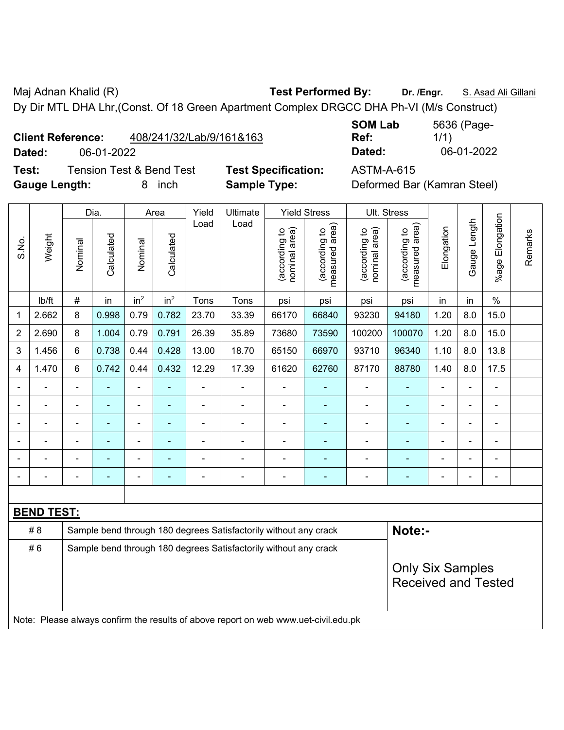Maj Adnan Khalid (R) **Test Performed By:** Dr. /Engr. **S. Asad Ali Gillani** Ali Gillani

Dy Dir MTL DHA Lhr,(Const. Of 18 Green Apartment Complex DRGCC DHA Ph-VI (M/s Construct)

| 408/241/32/Lab/9/161&163<br><b>Client Reference:</b> |
|------------------------------------------------------|
|------------------------------------------------------|

**Test:** Tension Test & Bend Test **Test Specification:** ASTM-A-615 Gauge Length: **8** inch **Sample Type:** I

**SOM Lab Ref:**  5636 (Page-1/1) **Dated:** 06-01-2022 **Dated:** 06-01-2022

|  | Deformed Bar (Kamran Steel) |
|--|-----------------------------|
|--|-----------------------------|

|                                                                        | Weight                                                                              | Dia.           |                | Area            |                          | Yield          | Ultimate                 | <b>Yield Stress</b>            |                                 |                                | Ult. Stress                     |                          |                |                          |         |
|------------------------------------------------------------------------|-------------------------------------------------------------------------------------|----------------|----------------|-----------------|--------------------------|----------------|--------------------------|--------------------------------|---------------------------------|--------------------------------|---------------------------------|--------------------------|----------------|--------------------------|---------|
| S.No.                                                                  |                                                                                     | Nominal        | Calculated     | Nominal         | Calculated               | Load           | Load                     | nominal area)<br>(according to | (according to<br>measured area) | nominal area)<br>(according to | measured area)<br>(according to | Elongation               | Gauge Length   | %age Elongation          | Remarks |
|                                                                        | lb/ft                                                                               | $\#$           | in             | in <sup>2</sup> | in <sup>2</sup>          | Tons           | Tons                     | psi                            | psi                             | psi                            | psi                             | in                       | in             | $\%$                     |         |
| 1                                                                      | 2.662                                                                               | 8              | 0.998          | 0.79            | 0.782                    | 23.70          | 33.39                    | 66170                          | 66840                           | 93230                          | 94180                           | 1.20                     | 8.0            | 15.0                     |         |
| $\overline{2}$                                                         | 2.690                                                                               | 8              | 1.004          | 0.79            | 0.791                    | 26.39          | 35.89                    | 73680                          | 73590                           | 100200                         | 100070                          | 1.20                     | 8.0            | 15.0                     |         |
| 3                                                                      | 1.456                                                                               | $6\phantom{a}$ | 0.738          | 0.44            | 0.428                    | 13.00          | 18.70                    | 65150                          | 66970                           | 93710                          | 96340                           | 1.10                     | 8.0            | 13.8                     |         |
| 4                                                                      | 1.470                                                                               | 6              | 0.742          | 0.44            | 0.432                    | 12.29          | 17.39                    | 61620                          | 62760                           | 87170                          | 88780                           | 1.40                     | 8.0            | 17.5                     |         |
|                                                                        | ä,                                                                                  | $\blacksquare$ | ÷,             | $\blacksquare$  | $\blacksquare$           | $\blacksquare$ | $\blacksquare$           | $\blacksquare$                 | ÷                               | $\overline{\phantom{a}}$       | ÷,                              | $\blacksquare$           | ÷,             | $\blacksquare$           |         |
|                                                                        | ä,                                                                                  | $\blacksquare$ | $\blacksquare$ | $\blacksquare$  | $\overline{\phantom{a}}$ | $\blacksquare$ | $\overline{\phantom{a}}$ | ÷,                             | ÷                               | $\blacksquare$                 | ÷,                              | $\blacksquare$           | ÷,             | $\blacksquare$           |         |
|                                                                        |                                                                                     |                | ä,             | ä,              |                          |                |                          | $\blacksquare$                 | ä,                              | $\blacksquare$                 | ۰                               | $\blacksquare$           |                | $\blacksquare$           |         |
|                                                                        |                                                                                     |                | $\blacksquare$ |                 |                          |                |                          | $\blacksquare$                 |                                 | Ē,                             |                                 |                          | ä,             |                          |         |
|                                                                        |                                                                                     |                |                | ٠               |                          |                |                          |                                |                                 | ٠                              |                                 |                          | $\overline{a}$ | $\blacksquare$           |         |
| $\overline{\phantom{0}}$                                               | Ē.                                                                                  | $\blacksquare$ | $\blacksquare$ | $\blacksquare$  | $\overline{\phantom{a}}$ | $\blacksquare$ | $\overline{\phantom{0}}$ | $\overline{\phantom{0}}$       | $\overline{a}$                  | ٠                              | $\overline{\phantom{0}}$        | $\overline{\phantom{0}}$ | ÷              | $\overline{\phantom{0}}$ |         |
|                                                                        |                                                                                     |                |                |                 |                          |                |                          |                                |                                 |                                |                                 |                          |                |                          |         |
| <b>BEND TEST:</b>                                                      |                                                                                     |                |                |                 |                          |                |                          |                                |                                 |                                |                                 |                          |                |                          |         |
|                                                                        | Note:-<br># 8<br>Sample bend through 180 degrees Satisfactorily without any crack   |                |                |                 |                          |                |                          |                                |                                 |                                |                                 |                          |                |                          |         |
| #6<br>Sample bend through 180 degrees Satisfactorily without any crack |                                                                                     |                |                |                 |                          |                |                          |                                |                                 |                                |                                 |                          |                |                          |         |
|                                                                        |                                                                                     |                |                |                 |                          |                |                          | <b>Only Six Samples</b>        |                                 |                                |                                 |                          |                |                          |         |
|                                                                        |                                                                                     |                |                |                 |                          |                |                          |                                | <b>Received and Tested</b>      |                                |                                 |                          |                |                          |         |
|                                                                        |                                                                                     |                |                |                 |                          |                |                          |                                |                                 |                                |                                 |                          |                |                          |         |
|                                                                        | Note: Please always confirm the results of above report on web www.uet-civil.edu.pk |                |                |                 |                          |                |                          |                                |                                 |                                |                                 |                          |                |                          |         |